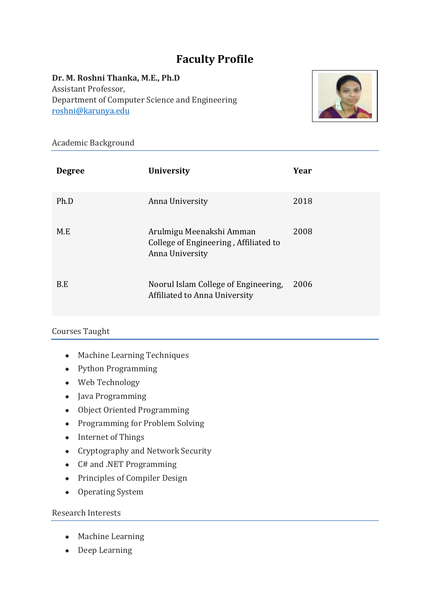# **Faculty Profile**

**Dr. M. Roshni Thanka, M.E., Ph.D** Assistant Professor, Department of Computer Science and Engineering [roshni@karunya.edu](mailto:roshni@karunya.edu)



Academic Background

| <b>Degree</b> | <b>University</b>                                                                    | Year |
|---------------|--------------------------------------------------------------------------------------|------|
| Ph.D          | Anna University                                                                      | 2018 |
| M.E           | Arulmigu Meenakshi Amman<br>College of Engineering, Affiliated to<br>Anna University | 2008 |
| B.E           | Noorul Islam College of Engineering,<br>Affiliated to Anna University                | 2006 |

# Courses Taught

- Machine Learning Techniques
- Python Programming
- Web Technology
- Java Programming
- Object Oriented Programming
- Programming for Problem Solving
- Internet of Things
- Cryptography and Network Security
- C# and .NET Programming
- Principles of Compiler Design
- Operating System

# Research Interests

- Machine Learning
- Deep Learning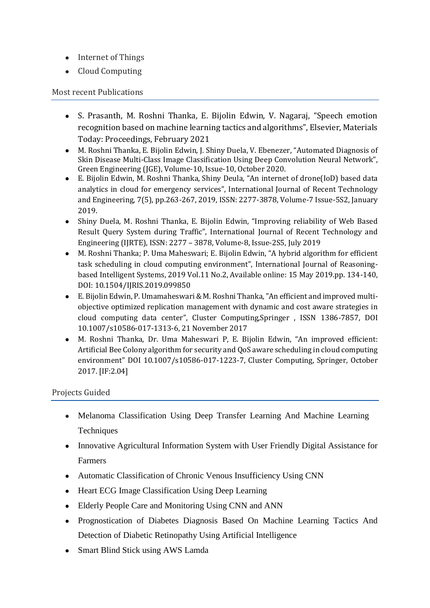- Internet of Things
- Cloud Computing

## Most recent Publications

- S. Prasanth, M. Roshni Thanka, E. Bijolin Edwin, V. Nagaraj, "Speech emotion recognition based on machine learning tactics and algorithms", Elsevier, Materials Today: Proceedings, February 2021
- M. Roshni Thanka, E. Bijolin Edwin, J. Shiny Duela, V. Ebenezer, "Automated Diagnosis of Skin Disease Multi-Class Image Classification Using Deep Convolution Neural Network", Green Engineering (JGE), Volume-10, Issue-10, October 2020.
- E. Bijolin Edwin, M. Roshni Thanka, Shiny Deula, "An internet of drone(IoD) based data analytics in cloud for emergency services", International Journal of Recent Technology and Engineering, 7(5), pp.263-267, 2019, ISSN: 2277-3878, Volume-7 Issue-5S2, January 2019.
- Shiny Duela, M. Roshni Thanka, E. Bijolin Edwin, "Improving reliability of Web Based Result Query System during Traffic", International Journal of Recent Technology and Engineering (IJRTE), ISSN: 2277 – 3878, Volume-8, Issue-2S5, July 2019
- M. Roshni Thanka; P. Uma Maheswari; E. Bijolin Edwin, "A hybrid algorithm for efficient task scheduling in cloud computing environment", International Journal of Reasoningbased Intelligent Systems, 2019 Vol.11 No.2, Available online: 15 May 2019.pp. 134-140, DOI: 10.1504/IJRIS.2019.099850
- E. Bijolin Edwin, P. Umamaheswari & M. Roshni Thanka, "An efficient and improved multiobjective optimized replication management with dynamic and cost aware strategies in cloud computing data center", Cluster Computing,Springer , ISSN 1386-7857, DOI 10.1007/s10586-017-1313-6, 21 November 2017
- M. Roshni Thanka, Dr. Uma Maheswari P, E. Bijolin Edwin, "An improved efficient: Artificial Bee Colony algorithm for security and QoS aware scheduling in cloud computing environment" DOI 10.1007/s10586-017-1223-7, Cluster Computing, Springer, October 2017. [IF:2.04]

#### Projects Guided

- Melanoma Classification Using Deep Transfer Learning And Machine Learning **Techniques**
- Innovative Agricultural Information System with User Friendly Digital Assistance for Farmers
- Automatic Classification of Chronic Venous Insufficiency Using CNN
- Heart ECG Image Classification Using Deep Learning
- Elderly People Care and Monitoring Using CNN and ANN
- Prognostication of Diabetes Diagnosis Based On Machine Learning Tactics And Detection of Diabetic Retinopathy Using Artificial Intelligence
- Smart Blind Stick using AWS Lamda